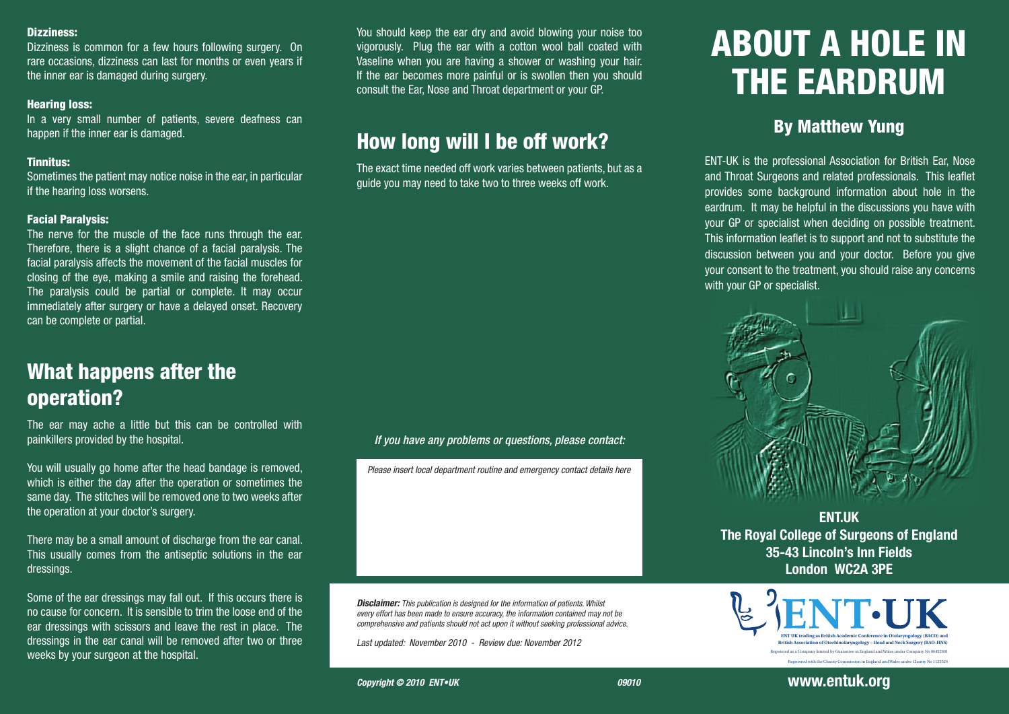#### Dizziness:

Dizziness is common for a few hours following surgery. On rare occasions, dizziness can last for months or even years if the inner ear is damaged during surgery.

### Hearing loss:

In a very small number of patients, severe deafness can happen if the inner ear is damaged.

## Tinnitus:

Sometimes the patient may notice noise in the ear, in particular if the hearing loss worsens.

## Facial Paralysis:

The nerve for the muscle of the face runs through the ear. Therefore, there is a slight chance of a facial paralysis. The facial paralysis affects the movement of the facial muscles for closing of the eye, making a smile and raising the forehead. The paralysis could be partial or complete. It may occur immediately after surgery or have a delayed onset. Recovery can be complete or partial.

# What happens after the operation?

The ear may ache a little but this can be controlled with painkillers provided by the hospital.

You will usually go home after the head bandage is removed, which is either the day after the operation or sometimes the same day. The stitches will be removed one to two weeks after the operation at your doctor's surgery.

There may be a small amount of discharge from the ear canal. This usually comes from the antiseptic solutions in the ear dressings.

Some of the ear dressings may fall out. If this occurs there is no cause for concern. It is sensible to trim the loose end of the ear dressings with scissors and leave the rest in place. The dressings in the ear canal will be removed after two or three weeks by your surgeon at the hospital.

You should keep the ear dry and avoid blowing your noise too vigorously. Plug the ear with a cotton wool ball coated with Vaseline when you are having a shower or washing your hair. If the ear becomes more painful or is swollen then you should consult the Ear, Nose and Throat department or your GP.

# How long will I be off work?

The exact time needed off work varies between patients, but as a guide you may need to take two to three weeks off work.

## *If you have any problems or questions, please contact:*

*Please insert local department routine and emergency contact details here*

*Disclaimer: This publication is designed for the information of patients. Whilst every effort has been made to ensure accuracy, the information contained may not be comprehensive and patients should not act upon it without seeking professional advice.*

*Last updated: November 2010 - Review due: November 2012* 

# ABOUT A HOLE IN THE EARDRUM

## By Matthew Yung

ENT-UK is the professional Association for British Ear, Nose and Throat Surgeons and related professionals. This leaflet provides some background information about hole in the eardrum. It may be helpful in the discussions you have with your GP or specialist when deciding on possible treatment. This information leaflet is to support and not to substitute the discussion between you and your doctor. Before you give your consent to the treatment, you should raise any concerns with your GP or specialist.



**ENT.UK The Royal College of Surgeons of England 35-43 Lincoln's Inn Fields London WC2A 3PE**



**www.entuk.org**